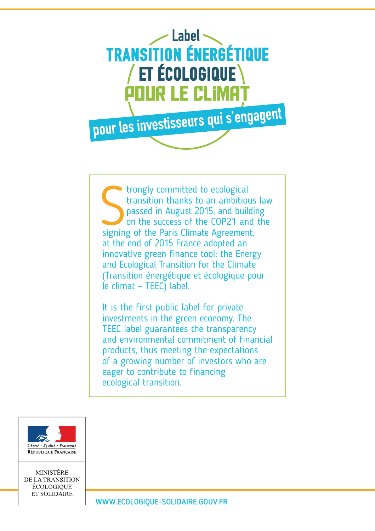

Formally committed to ecological<br>transition thanks to an ambitious<br>passed in August 2015, and buildir<br>on the success of the COP21 and<br>signing of the Paris Climate Agreement, trongly committed to ecological transition thanks to an ambitious law passed in August 2015, and building on the success of the COP21 and the at the end of 2015 France adopted an innovative green finance tool: the Energy and Ecological Transition for the Climate (Transition énergétique et écologique pour le climat – TEEC) label.

It is the first public label for private investments in the green economy. The TEEC label guarantees the transparency and environmental commitment of financial products, thus meeting the expectations of a growing number of investors who are eager to contribute to financing ecological transition.



MINISTÈRE DE LA TRANSITION ÉCOLOGIOUE ET SOLIDAIRE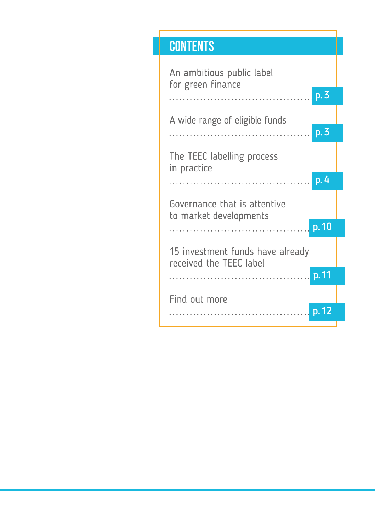## **CONTENTS**

| An ambitious public label<br>for green finance              |  |
|-------------------------------------------------------------|--|
|                                                             |  |
| A wide range of eligible funds                              |  |
| <mark>p.3</mark>                                            |  |
| The TEEC labelling process<br>in practice                   |  |
|                                                             |  |
| Governance that is attentive<br>to market developments      |  |
|                                                             |  |
| 15 investment funds have already<br>received the TEEC label |  |
| $\overline{p}$ . 11                                         |  |
| Find out more                                               |  |
| p.12                                                        |  |
|                                                             |  |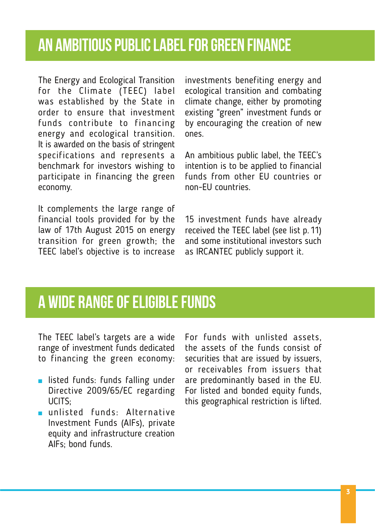## AN AMBITIOUS PUBLIC LABEL FOR GREEN FINANCE

The Energy and Ecological Transition for the Climate (TEEC) label was established by the State in order to ensure that investment funds contribute to financing energy and ecological transition. It is awarded on the basis of stringent specifications and represents a benchmark for investors wishing to participate in financing the green economy.

It complements the large range of financial tools provided for by the law of 17th August 2015 on energy transition for green growth; the TEEC label's objective is to increase

investments benefiting energy and ecological transition and combating climate change, either by promoting existing "green" investment funds or by encouraging the creation of new ones.

An ambitious public label, the TEEC's intention is to be applied to financial funds from other EU countries or non-EU countries.

15 investment funds have already received the TEEC label (see list p. 11) and some institutional investors such as IRCANTEC publicly support it.

## A WIDE RANGE OF ELIGIBLE FUNDS

The TEEC label's targets are a wide range of investment funds dedicated to financing the green economy:

- **n** listed funds: funds falling under Directive 2009/65/EC regarding UCITS;
- n unlisted funds: Alternative Investment Funds (AIFs), private equity and infrastructure creation AIFs; bond funds.

For funds with unlisted assets, the assets of the funds consist of securities that are issued by issuers, or receivables from issuers that are predominantly based in the EU. For listed and bonded equity funds, this geographical restriction is lifted.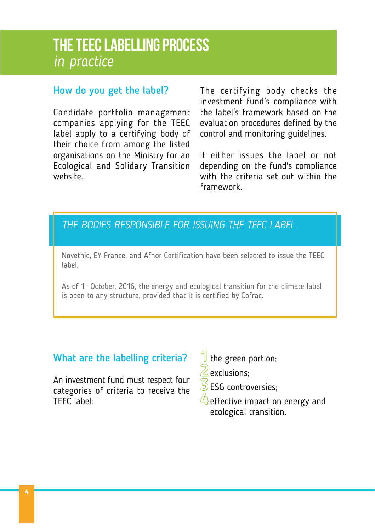## THE TEEC LABELLING PROCESS *in practice*

#### How do you get the label?

Candidate portfolio management companies applying for the TEEC label apply to a certifying body of their choice from among the listed organisations on the Ministry for an Ecological and Solidary Transition website.

The certifying body checks the investment fund's compliance with the label's framework based on the evaluation procedures defined by the control and monitoring guidelines.

It either issues the label or not depending on the fund's compliance with the criteria set out within the framework.

#### *THE BODIES RESPONSIBLE FOR ISSUING THE TEEC LABEL*

Novethic, EY France, and Afnor Certification have been selected to issue the TEEC label.

As of 1<sup>st</sup> October, 2016, the energy and ecological transition for the climate label is open to any structure, provided that it is certified by Cofrac.

#### What are the labelling criteria?

An investment fund must respect four categories of criteria to receive the TEEC label:

 $\sqrt{\ }$  the green portion;

 $\sqrt{2}$  exclusions:

 $\mathcal{Z}_0$  ESG controversies;

 $\overline{\mathcal{A}}$  effective impact on energy and ecological transition.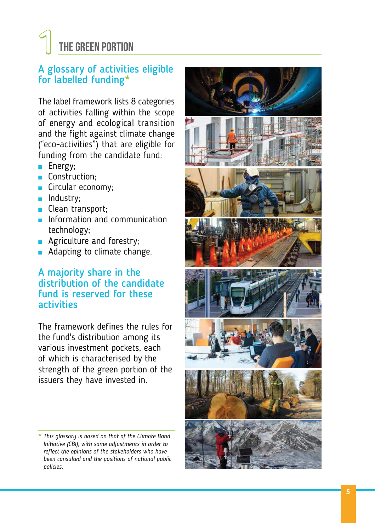# THE GREEN PORTION

#### A glossary of activities eligible for labelled funding \*

The label framework lists 8 categories of activities falling within the scope of energy and ecological transition and the fight against climate change ("eco-activities") that are eligible for funding from the candidate fund:

- **n** Energy;
- **n** Construction:
- **n** Circular economy;
- **n** Industry;
- **n** Clean transport;
- n Information and communication technology;
- **Agriculture and forestry;**
- **n** Adapting to climate change.

#### A majority share in the distribution of the candidate fund is reserved for these activities

The framework defines the rules for the fund's distribution among its various investment pockets, each of which is characterised by the strength of the green portion of the issuers they have invested in.

**<sup>\*</sup>** *This glossary is based on that of the Climate Bond Initiative (CBI), with some adjustments in order to reflect the opinions of the stakeholders who have been consulted and the positions of national public policies.* 

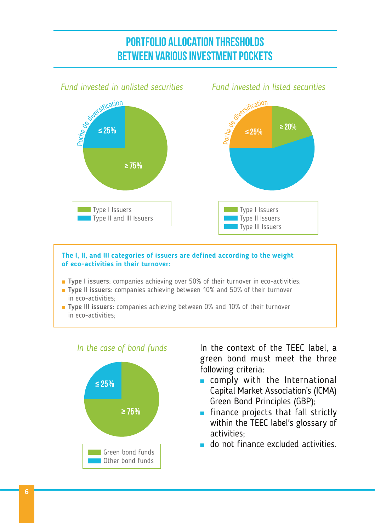#### **PORTFOLIO ALLOCATION THRESHOLDS BETWEEN VARIOUS INVESTMENT POCKETS**



#### **The I, II, and III categories of issuers are defined according to the weight of eco-activities in their turnover:**

- **n** Type I issuers: companies achieving over 50% of their turnover in eco-activities;
- **n** Type II issuers: companies achieving between 10% and 50% of their turnover in eco-activities;
- Type III issuers: companies achieving between 0% and 10% of their turnover in eco-activities;



In the context of the TEEC label, a green bond must meet the three following criteria:

- comply with the International Capital Market Association's (ICMA) Green Bond Principles (GBP);
- $\blacksquare$  finance projects that fall strictly within the TEEC label's glossary of activities;
- n do not finance excluded activities.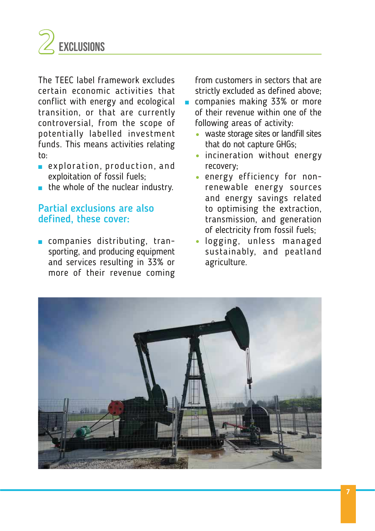

The TEEC label framework excludes certain economic activities that conflict with energy and ecological transition, or that are currently controversial, from the scope of potentially labelled investment funds. This means activities relating to:

- **n** exploration, production, and exploitation of fossil fuels;
- $n$  the whole of the nuclear industry.

#### Partial exclusions are also defined, these cover:

**n** companies distributing, transporting, and producing equipment and services resulting in 33% or more of their revenue coming

from customers in sectors that are strictly excluded as defined above; companies making 33% or more

of their revenue within one of the following areas of activity:

- waste storage sites or landfill sites that do not capture GHGs;
- incineration without energy recovery;
- energy efficiency for nonrenewable energy sources and energy savings related to optimising the extraction, transmission, and generation of electricity from fossil fuels;
- logging, unless managed sustainably, and peatland agriculture.

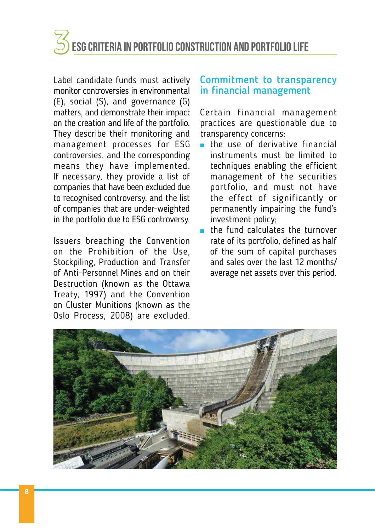## ESG CRITERIA IN PORTFOLIO CONSTRUCTION AND PORTFOLIO LIFE

Label candidate funds must actively monitor controversies in environmental (E), social (S), and governance (G) matters, and demonstrate their impact on the creation and life of the portfolio. They describe their monitoring and management processes for ESG controversies, and the corresponding means they have implemented. If necessary, they provide a list of companies that have been excluded due to recognised controversy, and the list of companies that are under-weighted in the portfolio due to ESG controversy.

Issuers breaching the Convention on the Prohibition of the Use, Stockpiling, Production and Transfer of Anti-Personnel Mines and on their Destruction (known as the Ottawa Treaty, 1997) and the Convention on Cluster Munitions (known as the Oslo Process, 2008) are excluded.

#### Commitment to transparency in financial management

Certain financial management practices are questionable due to transparency concerns:

- $\blacksquare$  the use of derivative financial instruments must be limited to techniques enabling the efficient management of the securities portfolio, and must not have the effect of significantly or permanently impairing the fund's investment policy;
- $n$  the fund calculates the turnover rate of its portfolio, defined as half of the sum of capital purchases and sales over the last 12 months/ average net assets over this period.

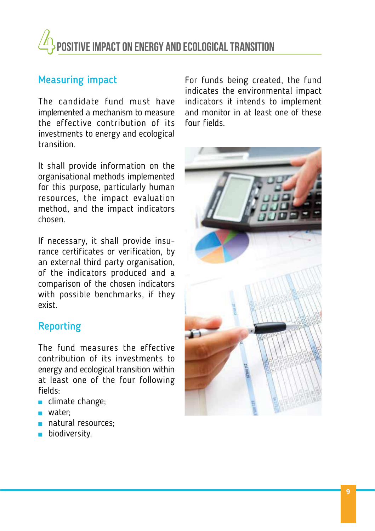## OSITIVE IMPACT ON ENERGY AND ECOLOGICAL TRANSITION

#### Measuring impact

The candidate fund must have implemented a mechanism to measure the effective contribution of its investments to energy and ecological transition.

It shall provide information on the organisational methods implemented for this purpose, particularly human resources, the impact evaluation method, and the impact indicators chosen.

If necessary, it shall provide insurance certificates or verification, by an external third party organisation, of the indicators produced and a comparison of the chosen indicators with possible benchmarks, if they exist.

#### Reporting

The fund measures the effective contribution of its investments to energy and ecological transition within at least one of the four following fields:

- $\blacksquare$  climate change;
- n water:
- natural resources:
- **n** biodiversity.

For funds being created, the fund indicates the environmental impact indicators it intends to implement and monitor in at least one of these four fields.

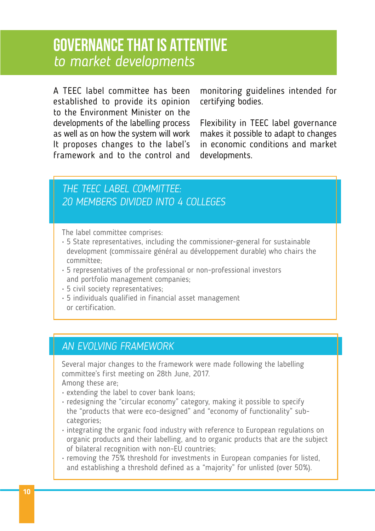### GOVERNANCE THAT IS ATTENTIVE *to market developments*

A TEEC label committee has been established to provide its opinion to the Environment Minister on the developments of the labelling process as well as on how the system will work It proposes changes to the label's framework and to the control and monitoring guidelines intended for certifying bodies.

Flexibility in TEEC label governance makes it possible to adapt to changes in economic conditions and market developments.

#### *THE TEEC LABEL COMMITTEE: 20 MEMBERS DIVIDED INTO 4 COLLEGES*

The label committee comprises:

- 5 State representatives, including the commissioner-general for sustainable development (commissaire général au développement durable) who chairs the committee;
- 5 representatives of the professional or non-professional investors and portfolio management companies;
- 5 civil society representatives;
- 5 individuals qualified in financial asset management or certification.

#### *AN EVOLVING FRAMEWORK*

Several major changes to the framework were made following the labelling committee's first meeting on 28th June, 2017. Among these are;

- extending the label to cover bank loans;
- redesigning the "circular economy" category, making it possible to specify the "products that were eco-designed" and "economy of functionality" subcategories;
- integrating the organic food industry with reference to European regulations on organic products and their labelling, and to organic products that are the subject of bilateral recognition with non-EU countries;
- removing the 75% threshold for investments in European companies for listed, and establishing a threshold defined as a "majority" for unlisted (over 50%).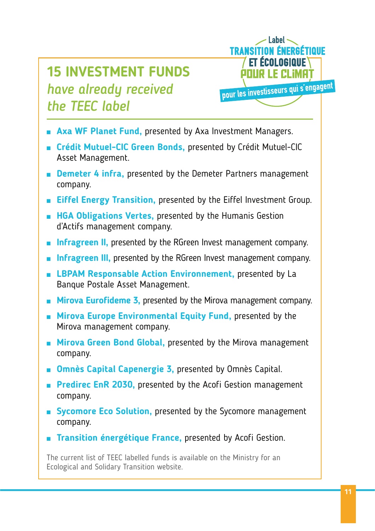## **15 INVESTMENT FUNDS**  *have already received the TEEC label*



- **n Axa WF Planet Fund,** presented by Axa Investment Managers.
- <sup>n</sup> **Crédit Mutuel-CIC Green Bonds,** presented by Crédit Mutuel-CIC Asset Management.
- **n** Demeter 4 infra, presented by the Demeter Partners management company.
- **Eiffel Energy Transition,** presented by the Eiffel Investment Group.
- **E** HGA Obligations Vertes, presented by the Humanis Gestion d'Actifs management company.
- **n Infragreen II,** presented by the RGreen Invest management company.
- **n Infragreen III,** presented by the RGreen Invest management company.
- **E** LBPAM Responsable Action Environnement, presented by La Banque Postale Asset Management.
- **n** Mirova Eurofideme 3, presented by the Mirova management company.
- **n** Mirova Europe Environmental Equity Fund, presented by the Mirova management company.
- **n** Mirova Green Bond Global, presented by the Mirova management company.
- **n Omnès Capital Capenergie 3, presented by Omnès Capital.**
- **Predirec EnR 2030, presented by the Acofi Gestion management** company.
- **Exercise Sycomore Eco Solution,** presented by the Sycomore management company.
- <sup>n</sup> **Transition énergétique France,** presented by Acofi Gestion.

The current list of TEEC labelled funds is available on the Ministry for an Ecological and Solidary Transition website.